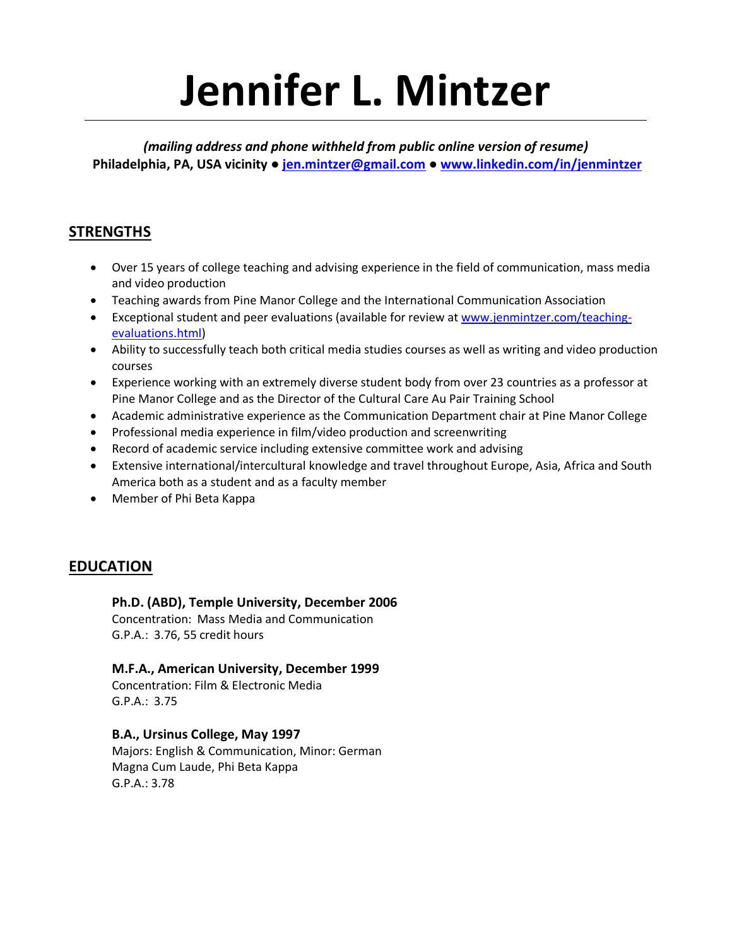# **Jennifer L. Mintzer**

*(mailing address and phone withheld from public online version of resume)* **Philadelphia, PA, USA vicinity ● jen.mintzer@gmail.com ● www.linkedin.com/in/jenmintzer**

# **STRENGTHS**

- Over 15 years of college teaching and advising experience in the field of communication, mass media and video production
- Teaching awards from Pine Manor College and the International Communication Association
- Exceptional student and peer evaluations (available for review at www.jenmintzer.com/teachingevaluations.html)
- Ability to successfully teach both critical media studies courses as well as writing and video production courses
- Experience working with an extremely diverse student body from over 23 countries as a professor at Pine Manor College and as the Director of the Cultural Care Au Pair Training School
- Academic administrative experience as the Communication Department chair at Pine Manor College
- Professional media experience in film/video production and screenwriting
- Record of academic service including extensive committee work and advising
- Extensive international/intercultural knowledge and travel throughout Europe, Asia, Africa and South America both as a student and as a faculty member
- Member of Phi Beta Kappa

# **EDUCATION**

### **Ph.D. (ABD), Temple University, December 2006**

Concentration: Mass Media and Communication G.P.A.: 3.76, 55 credit hours

### **M.F.A., American University, December 1999**

Concentration: Film & Electronic Media G.P.A.: 3.75

### **B.A., Ursinus College, May 1997**

Majors: English & Communication, Minor: German Magna Cum Laude, Phi Beta Kappa G.P.A.: 3.78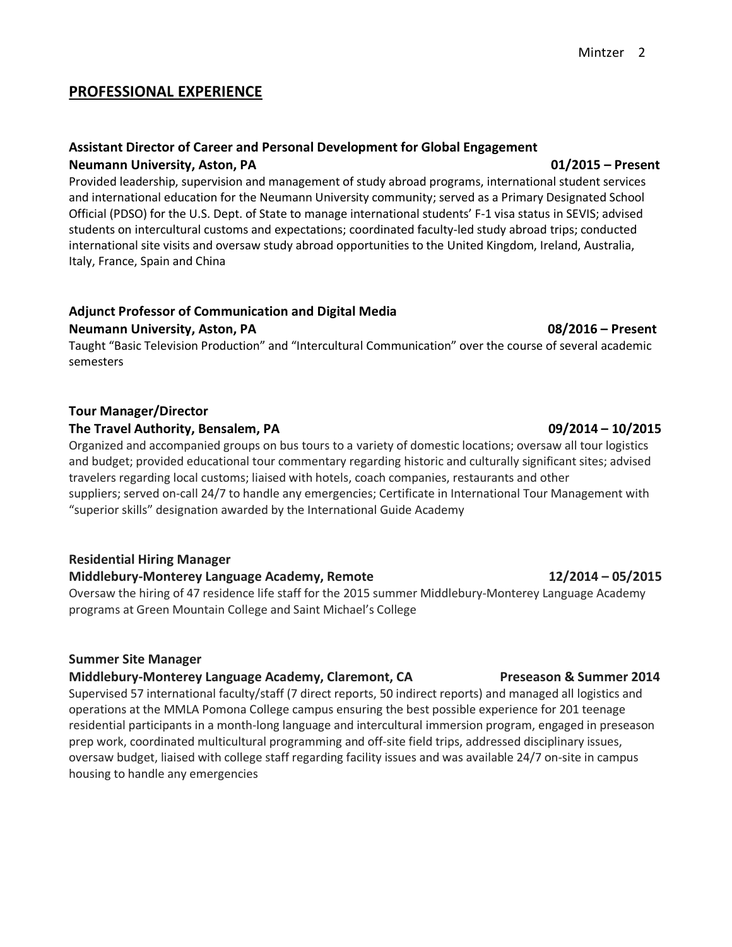### **PROFESSIONAL EXPERIENCE**

# **Assistant Director of Career and Personal Development for Global Engagement Neumann University, Aston, PA** 01/2015 – Present

Provided leadership, supervision and management of study abroad programs, international student services and international education for the Neumann University community; served as a Primary Designated School Official (PDSO) for the U.S. Dept. of State to manage international students' F-1 visa status in SEVIS; advised students on intercultural customs and expectations; coordinated faculty-led study abroad trips; conducted international site visits and oversaw study abroad opportunities to the United Kingdom, Ireland, Australia, Italy, France, Spain and China

# **Adjunct Professor of Communication and Digital Media**

#### **Neumann University, Aston, PA** 08/2016 – **Present**

Taught "Basic Television Production" and "Intercultural Communication" over the course of several academic semesters

#### **Tour Manager/Director**

#### **The Travel Authority, Bensalem, PA 09/2014 – 10/2015**

Organized and accompanied groups on bus tours to a variety of domestic locations; oversaw all tour logistics and budget; provided educational tour commentary regarding historic and culturally significant sites; advised travelers regarding local customs; liaised with hotels, coach companies, restaurants and other suppliers; served on-call 24/7 to handle any emergencies; Certificate in International Tour Management with "superior skills" designation awarded by the International Guide Academy

### **Residential Hiring Manager**

### **Middlebury-Monterey Language Academy, Remote 12/2014 – 05/2015**

Oversaw the hiring of 47 residence life staff for the 2015 summer Middlebury-Monterey Language Academy programs at Green Mountain College and Saint Michael's College

#### **Summer Site Manager**

#### **Middlebury-Monterey Language Academy, Claremont, CA Preseason & Summer 2014**

Supervised 57 international faculty/staff (7 direct reports, 50 indirect reports) and managed all logistics and operations at the MMLA Pomona College campus ensuring the best possible experience for 201 teenage residential participants in a month-long language and intercultural immersion program, engaged in preseason prep work, coordinated multicultural programming and off-site field trips, addressed disciplinary issues, oversaw budget, liaised with college staff regarding facility issues and was available 24/7 on-site in campus housing to handle any emergencies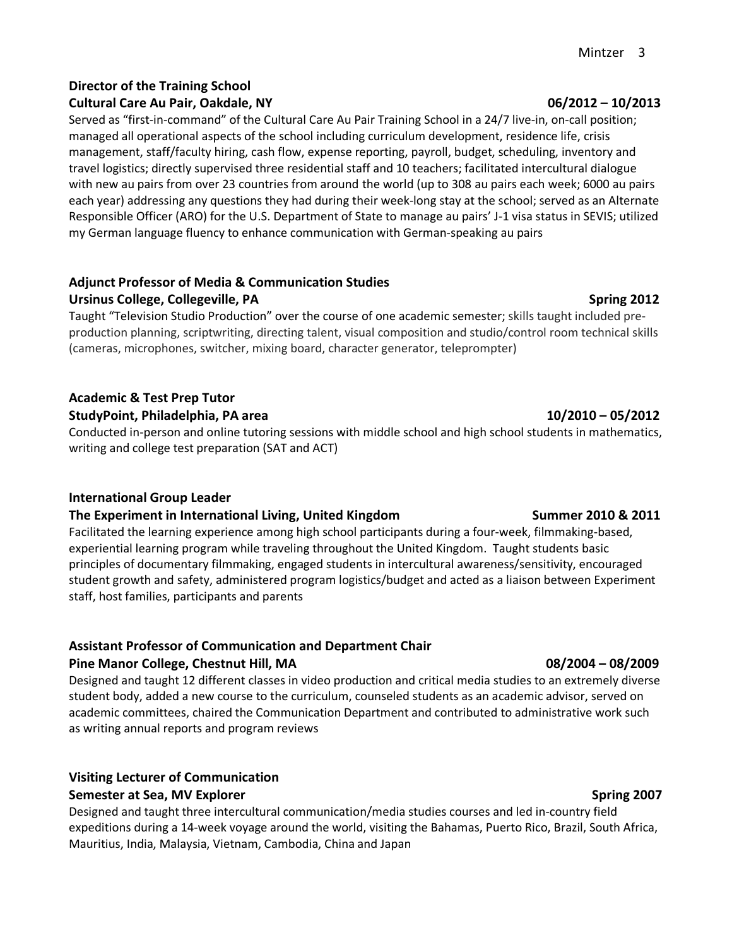# **Director of the Training School**

Served as "first-in-command" of the Cultural Care Au Pair Training School in a 24/7 live-in, on-call position; managed all operational aspects of the school including curriculum development, residence life, crisis management, staff/faculty hiring, cash flow, expense reporting, payroll, budget, scheduling, inventory and travel logistics; directly supervised three residential staff and 10 teachers; facilitated intercultural dialogue with new au pairs from over 23 countries from around the world (up to 308 au pairs each week; 6000 au pairs each year) addressing any questions they had during their week-long stay at the school; served as an Alternate Responsible Officer (ARO) for the U.S. Department of State to manage au pairs' J-1 visa status in SEVIS; utilized my German language fluency to enhance communication with German-speaking au pairs

### **Adjunct Professor of Media & Communication Studies** Ursinus College, Collegeville, PA Spring 2012

Taught "Television Studio Production" over the course of one academic semester; skills taught included preproduction planning, scriptwriting, directing talent, visual composition and studio/control room technical skills (cameras, microphones, switcher, mixing board, character generator, teleprompter)

# **Academic & Test Prep Tutor StudyPoint, Philadelphia, PA area 10/2010 – 05/2012**

Conducted in-person and online tutoring sessions with middle school and high school students in mathematics, writing and college test preparation (SAT and ACT)

### **International Group Leader**

### **The Experiment in International Living, United Kingdom Summer 2010 & 2011**

Facilitated the learning experience among high school participants during a four-week, filmmaking-based, experiential learning program while traveling throughout the United Kingdom. Taught students basic principles of documentary filmmaking, engaged students in intercultural awareness/sensitivity, encouraged student growth and safety, administered program logistics/budget and acted as a liaison between Experiment staff, host families, participants and parents

# **Assistant Professor of Communication and Department Chair**

#### **Pine Manor College, Chestnut Hill, MA 08/2004 – 08/2009**

Designed and taught 12 different classes in video production and critical media studies to an extremely diverse student body, added a new course to the curriculum, counseled students as an academic advisor, served on academic committees, chaired the Communication Department and contributed to administrative work such as writing annual reports and program reviews

# **Visiting Lecturer of Communication**

### **Semester at Sea, MV Explorer Spring 2007 Spring 2007**

Designed and taught three intercultural communication/media studies courses and led in-country field expeditions during a 14-week voyage around the world, visiting the Bahamas, Puerto Rico, Brazil, South Africa, Mauritius, India, Malaysia, Vietnam, Cambodia, China and Japan

#### **Cultural Care Au Pair, Oakdale, NY 06/2012 – 10/2013**

Mintzer 3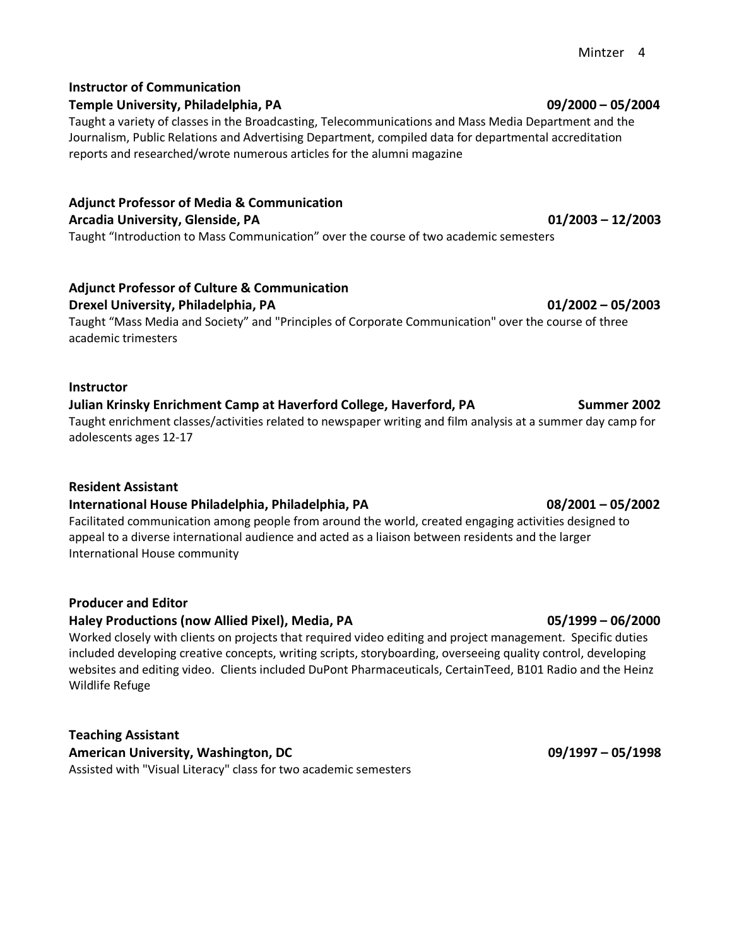### **Instructor of Communication**

### **Temple University, Philadelphia, PA 09/2000 – 05/2004**

Taught a variety of classes in the Broadcasting, Telecommunications and Mass Media Department and the Journalism, Public Relations and Advertising Department, compiled data for departmental accreditation reports and researched/wrote numerous articles for the alumni magazine

**Adjunct Professor of Media & Communication Arcadia University, Glenside, PA 01/2003 – 12/2003**

Taught "Introduction to Mass Communication" over the course of two academic semesters

# **Adjunct Professor of Culture & Communication**

**Drexel University, Philadelphia, PA 01/2002 – 05/2003**

Taught "Mass Media and Society" and "Principles of Corporate Communication" over the course of three academic trimesters

#### **Instructor**

# **Julian Krinsky Enrichment Camp at Haverford College, Haverford, PA Summer 2002**

Taught enrichment classes/activities related to newspaper writing and film analysis at a summer day camp for adolescents ages 12-17

### **Resident Assistant**

### **International House Philadelphia, Philadelphia, PA 08/2001 – 05/2002**

Facilitated communication among people from around the world, created engaging activities designed to appeal to a diverse international audience and acted as a liaison between residents and the larger International House community

#### **Producer and Editor**

### **Haley Productions (now Allied Pixel), Media, PA 05/1999 – 06/2000**

Worked closely with clients on projects that required video editing and project management. Specific duties included developing creative concepts, writing scripts, storyboarding, overseeing quality control, developing websites and editing video. Clients included DuPont Pharmaceuticals, CertainTeed, B101 Radio and the Heinz Wildlife Refuge

### **Teaching Assistant American University, Washington, DC 09/1997 – 05/1998**

Assisted with "Visual Literacy" class for two academic semesters

#### Mintzer 4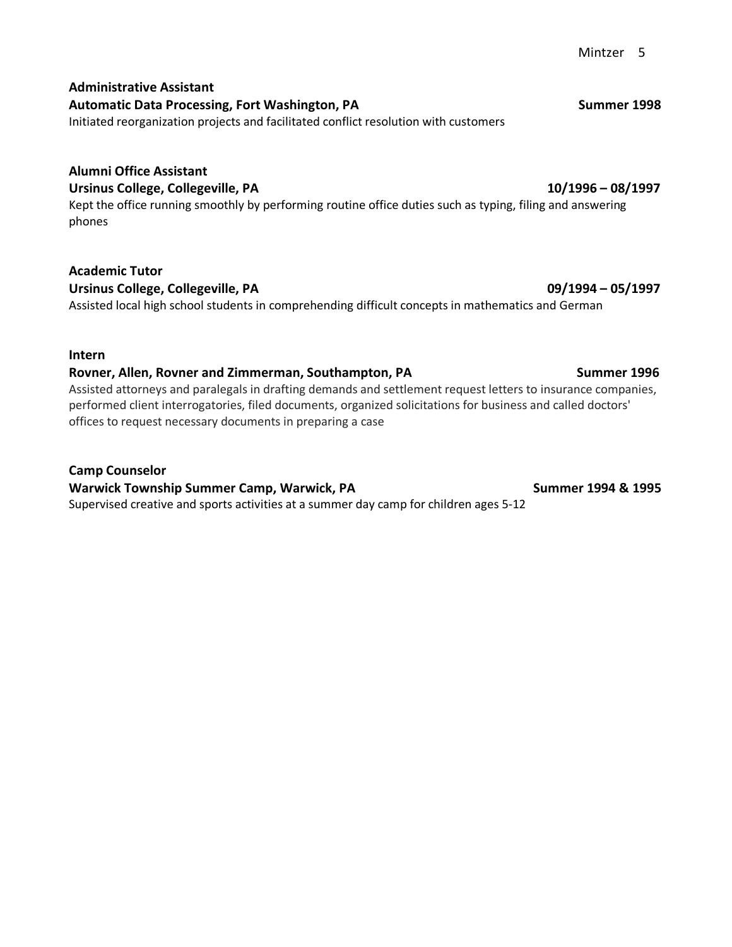#### **Administrative Assistant** Automatic Data Processing, Fort Washington, PA **Summer 1998** Summer 1998

Initiated reorganization projects and facilitated conflict resolution with customers

# **Alumni Office Assistant**

**Ursinus College, Collegeville, PA 10/1996 – 08/1997**

Kept the office running smoothly by performing routine office duties such as typing, filing and answering phones

# **Academic Tutor**

Ursinus College, Collegeville, PA 09/1994 – 05/1997 Assisted local high school students in comprehending difficult concepts in mathematics and German

### **Intern**

### **Rovner, Allen, Rovner and Zimmerman, Southampton, PA Summer 1996** Summer 1996

Assisted attorneys and paralegals in drafting demands and settlement request letters to insurance companies, performed client interrogatories, filed documents, organized solicitations for business and called doctors' offices to request necessary documents in preparing a case

**Camp Counselor**

Warwick Township Summer Camp, Warwick, PA Summer 1994 & 1995 Supervised creative and sports activities at a summer day camp for children ages 5-12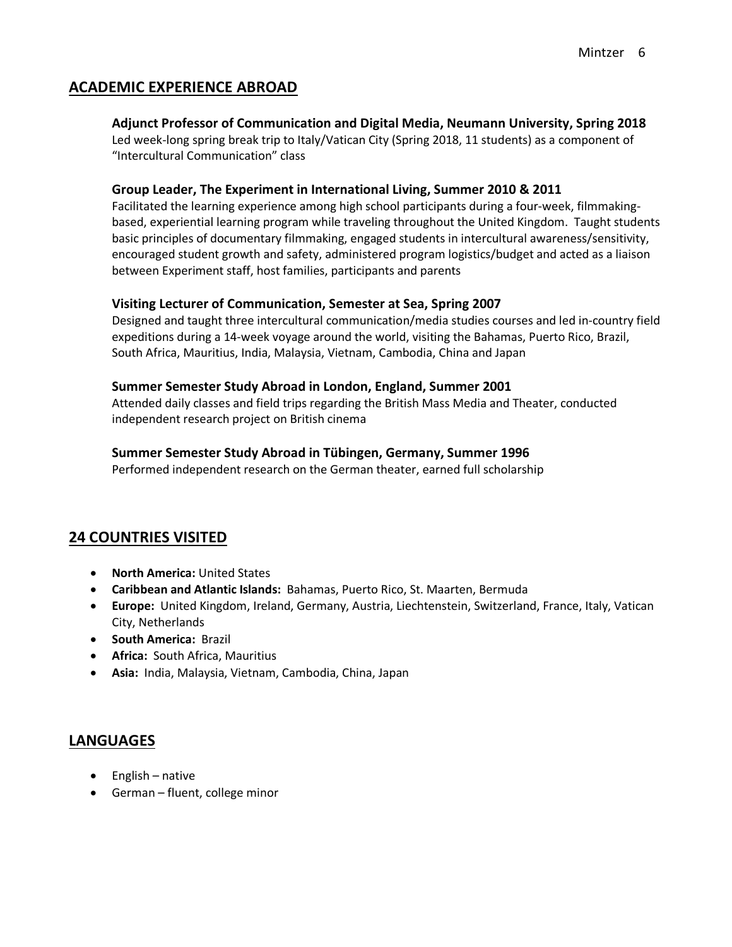### **ACADEMIC EXPERIENCE ABROAD**

#### **Adjunct Professor of Communication and Digital Media, Neumann University, Spring 2018**

Led week-long spring break trip to Italy/Vatican City (Spring 2018, 11 students) as a component of "Intercultural Communication" class

#### **Group Leader, The Experiment in International Living, Summer 2010 & 2011**

Facilitated the learning experience among high school participants during a four-week, filmmakingbased, experiential learning program while traveling throughout the United Kingdom. Taught students basic principles of documentary filmmaking, engaged students in intercultural awareness/sensitivity, encouraged student growth and safety, administered program logistics/budget and acted as a liaison between Experiment staff, host families, participants and parents

#### **Visiting Lecturer of Communication, Semester at Sea, Spring 2007**

Designed and taught three intercultural communication/media studies courses and led in-country field expeditions during a 14-week voyage around the world, visiting the Bahamas, Puerto Rico, Brazil, South Africa, Mauritius, India, Malaysia, Vietnam, Cambodia, China and Japan

#### **Summer Semester Study Abroad in London, England, Summer 2001**

Attended daily classes and field trips regarding the British Mass Media and Theater, conducted independent research project on British cinema

#### **Summer Semester Study Abroad in Tübingen, Germany, Summer 1996**

Performed independent research on the German theater, earned full scholarship

# **24 COUNTRIES VISITED**

- **North America:** United States
- **Caribbean and Atlantic Islands:** Bahamas, Puerto Rico, St. Maarten, Bermuda
- **Europe:** United Kingdom, Ireland, Germany, Austria, Liechtenstein, Switzerland, France, Italy, Vatican City, Netherlands
- **South America:** Brazil
- **Africa:** South Africa, Mauritius
- **Asia:** India, Malaysia, Vietnam, Cambodia, China, Japan

### **LANGUAGES**

- English native
- German fluent, college minor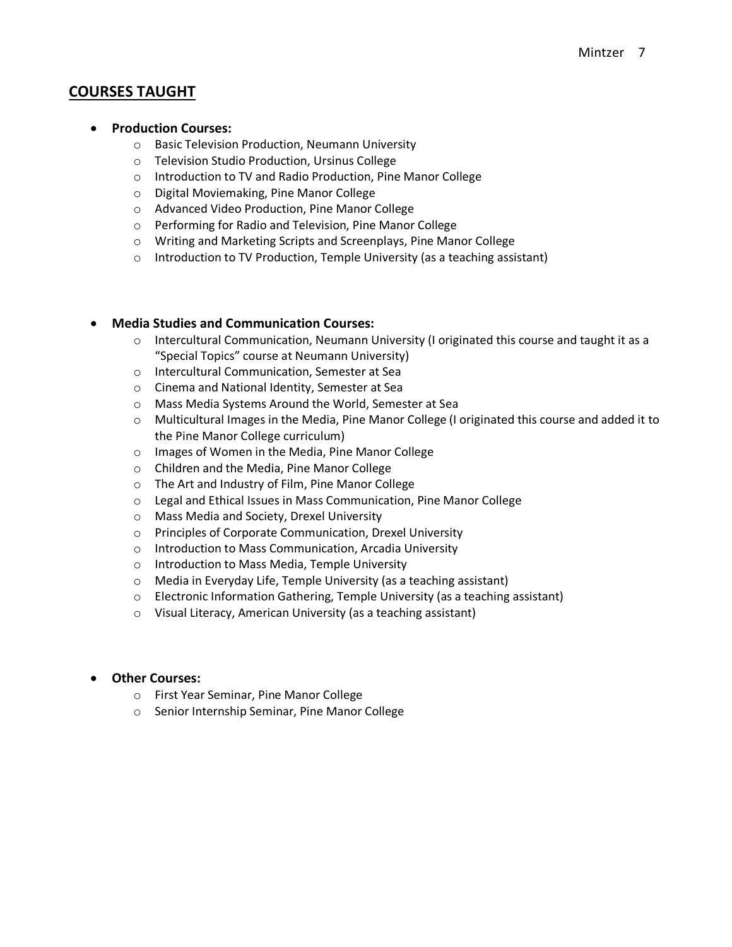### **COURSES TAUGHT**

#### • **Production Courses:**

- o Basic Television Production, Neumann University
- o Television Studio Production, Ursinus College
- o Introduction to TV and Radio Production, Pine Manor College
- o Digital Moviemaking, Pine Manor College
- o Advanced Video Production, Pine Manor College
- o Performing for Radio and Television, Pine Manor College
- o Writing and Marketing Scripts and Screenplays, Pine Manor College
- o Introduction to TV Production, Temple University (as a teaching assistant)

#### • **Media Studies and Communication Courses:**

- o Intercultural Communication, Neumann University (I originated this course and taught it as a "Special Topics" course at Neumann University)
- o Intercultural Communication, Semester at Sea
- o Cinema and National Identity, Semester at Sea
- o Mass Media Systems Around the World, Semester at Sea
- o Multicultural Images in the Media, Pine Manor College (I originated this course and added it to the Pine Manor College curriculum)
- o Images of Women in the Media, Pine Manor College
- o Children and the Media, Pine Manor College
- o The Art and Industry of Film, Pine Manor College
- o Legal and Ethical Issues in Mass Communication, Pine Manor College
- o Mass Media and Society, Drexel University
- o Principles of Corporate Communication, Drexel University
- o Introduction to Mass Communication, Arcadia University
- o Introduction to Mass Media, Temple University
- o Media in Everyday Life, Temple University (as a teaching assistant)
- o Electronic Information Gathering, Temple University (as a teaching assistant)
- o Visual Literacy, American University (as a teaching assistant)

#### • **Other Courses:**

- o First Year Seminar, Pine Manor College
- o Senior Internship Seminar, Pine Manor College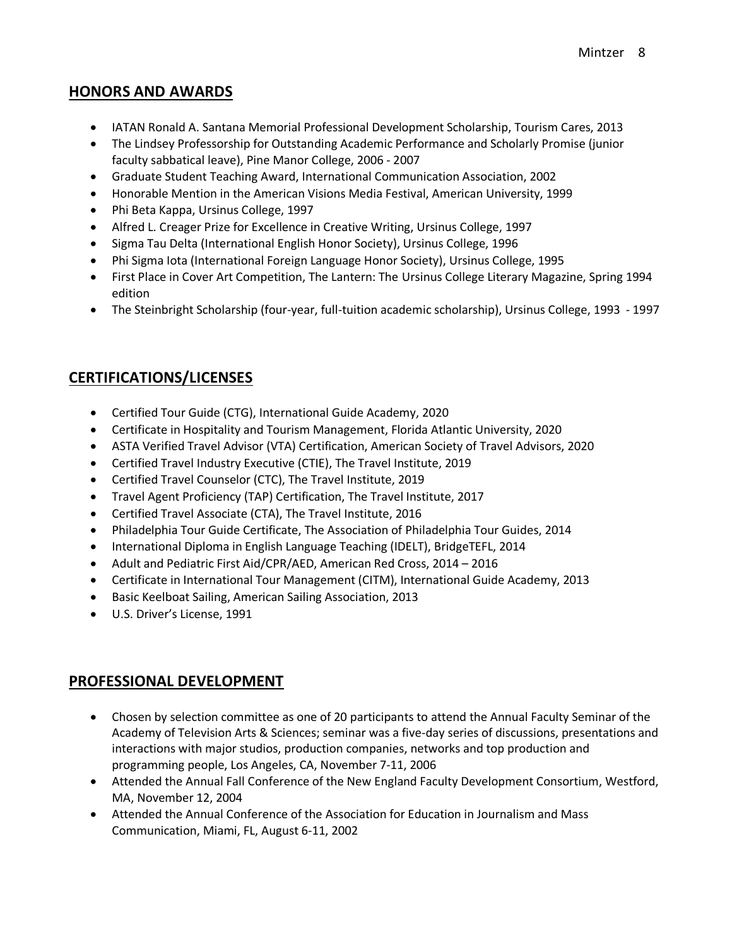### **HONORS AND AWARDS**

- IATAN Ronald A. Santana Memorial Professional Development Scholarship, Tourism Cares, 2013
- The Lindsey Professorship for Outstanding Academic Performance and Scholarly Promise (junior faculty sabbatical leave), Pine Manor College, 2006 - 2007
- Graduate Student Teaching Award, International Communication Association, 2002
- Honorable Mention in the American Visions Media Festival, American University, 1999
- Phi Beta Kappa, Ursinus College, 1997
- Alfred L. Creager Prize for Excellence in Creative Writing, Ursinus College, 1997
- Sigma Tau Delta (International English Honor Society), Ursinus College, 1996
- Phi Sigma Iota (International Foreign Language Honor Society), Ursinus College, 1995
- First Place in Cover Art Competition, The Lantern: The Ursinus College Literary Magazine, Spring 1994 edition
- The Steinbright Scholarship (four-year, full-tuition academic scholarship), Ursinus College, 1993 1997

# **CERTIFICATIONS/LICENSES**

- Certified Tour Guide (CTG), International Guide Academy, 2020
- Certificate in Hospitality and Tourism Management, Florida Atlantic University, 2020
- ASTA Verified Travel Advisor (VTA) Certification, American Society of Travel Advisors, 2020
- Certified Travel Industry Executive (CTIE), The Travel Institute, 2019
- Certified Travel Counselor (CTC), The Travel Institute, 2019
- Travel Agent Proficiency (TAP) Certification, The Travel Institute, 2017
- Certified Travel Associate (CTA), The Travel Institute, 2016
- Philadelphia Tour Guide Certificate, The Association of Philadelphia Tour Guides, 2014
- International Diploma in English Language Teaching (IDELT), BridgeTEFL, 2014
- Adult and Pediatric First Aid/CPR/AED, American Red Cross, 2014 2016
- Certificate in International Tour Management (CITM), International Guide Academy, 2013
- Basic Keelboat Sailing, American Sailing Association, 2013
- U.S. Driver's License, 1991

# **PROFESSIONAL DEVELOPMENT**

- Chosen by selection committee as one of 20 participants to attend the Annual Faculty Seminar of the Academy of Television Arts & Sciences; seminar was a five-day series of discussions, presentations and interactions with major studios, production companies, networks and top production and programming people, Los Angeles, CA, November 7-11, 2006
- Attended the Annual Fall Conference of the New England Faculty Development Consortium, Westford, MA, November 12, 2004
- Attended the Annual Conference of the Association for Education in Journalism and Mass Communication, Miami, FL, August 6-11, 2002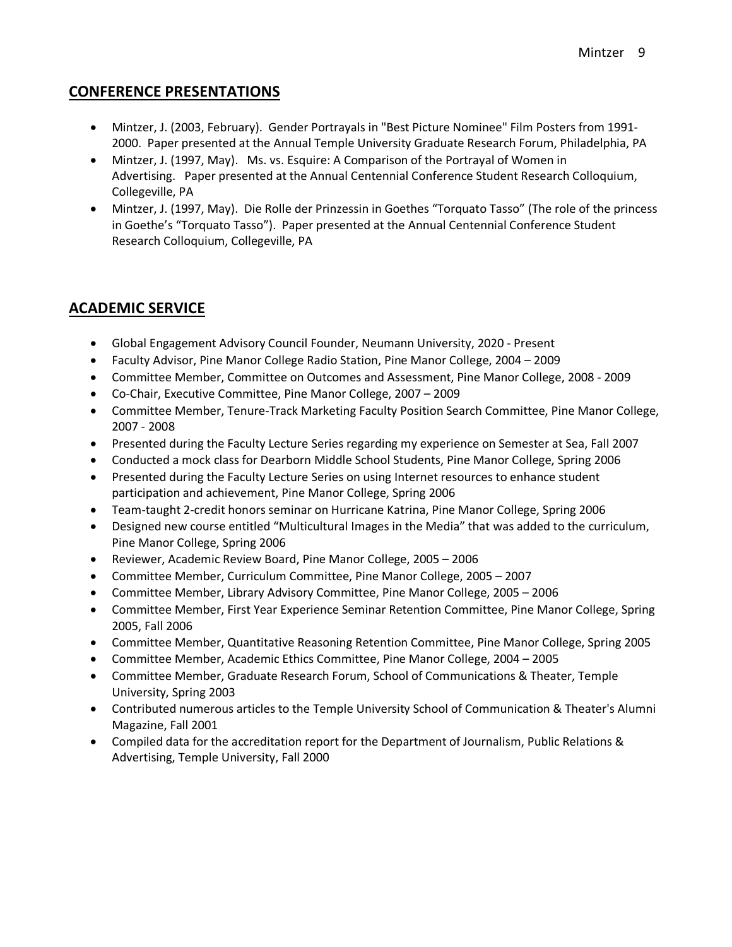### **CONFERENCE PRESENTATIONS**

- Mintzer, J. (2003, February). Gender Portrayals in "Best Picture Nominee" Film Posters from 1991- 2000. Paper presented at the Annual Temple University Graduate Research Forum, Philadelphia, PA
- Mintzer, J. (1997, May). Ms. vs. Esquire: A Comparison of the Portrayal of Women in Advertising. Paper presented at the Annual Centennial Conference Student Research Colloquium, Collegeville, PA
- Mintzer, J. (1997, May). Die Rolle der Prinzessin in Goethes "Torquato Tasso" (The role of the princess in Goethe's "Torquato Tasso"). Paper presented at the Annual Centennial Conference Student Research Colloquium, Collegeville, PA

# **ACADEMIC SERVICE**

- Global Engagement Advisory Council Founder, Neumann University, 2020 Present
- Faculty Advisor, Pine Manor College Radio Station, Pine Manor College, 2004 2009
- Committee Member, Committee on Outcomes and Assessment, Pine Manor College, 2008 2009
- Co-Chair, Executive Committee, Pine Manor College, 2007 2009
- Committee Member, Tenure-Track Marketing Faculty Position Search Committee, Pine Manor College, 2007 - 2008
- Presented during the Faculty Lecture Series regarding my experience on Semester at Sea, Fall 2007
- Conducted a mock class for Dearborn Middle School Students, Pine Manor College, Spring 2006
- Presented during the Faculty Lecture Series on using Internet resources to enhance student participation and achievement, Pine Manor College, Spring 2006
- Team-taught 2-credit honors seminar on Hurricane Katrina, Pine Manor College, Spring 2006
- Designed new course entitled "Multicultural Images in the Media" that was added to the curriculum, Pine Manor College, Spring 2006
- Reviewer, Academic Review Board, Pine Manor College, 2005 2006
- Committee Member, Curriculum Committee, Pine Manor College, 2005 2007
- Committee Member, Library Advisory Committee, Pine Manor College, 2005 2006
- Committee Member, First Year Experience Seminar Retention Committee, Pine Manor College, Spring 2005, Fall 2006
- Committee Member, Quantitative Reasoning Retention Committee, Pine Manor College, Spring 2005
- Committee Member, Academic Ethics Committee, Pine Manor College, 2004 2005
- Committee Member, Graduate Research Forum, School of Communications & Theater, Temple University, Spring 2003
- Contributed numerous articles to the Temple University School of Communication & Theater's Alumni Magazine, Fall 2001
- Compiled data for the accreditation report for the Department of Journalism, Public Relations & Advertising, Temple University, Fall 2000